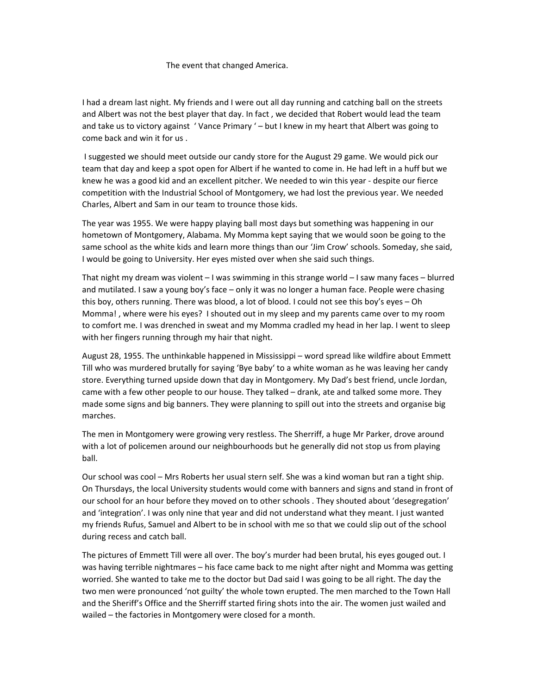## The event that changed America.

I had a dream last night. My friends and I were out all day running and catching ball on the streets and Albert was not the best player that day. In fact , we decided that Robert would lead the team and take us to victory against 'Vance Primary ' – but I knew in my heart that Albert was going to come back and win it for us .

 I suggested we should meet outside our candy store for the August 29 game. We would pick our team that day and keep a spot open for Albert if he wanted to come in. He had left in a huff but we knew he was a good kid and an excellent pitcher. We needed to win this year ‐ despite our fierce competition with the Industrial School of Montgomery, we had lost the previous year. We needed Charles, Albert and Sam in our team to trounce those kids.

The year was 1955. We were happy playing ball most days but something was happening in our hometown of Montgomery, Alabama. My Momma kept saying that we would soon be going to the same school as the white kids and learn more things than our 'Jim Crow' schools. Someday, she said, I would be going to University. Her eyes misted over when she said such things.

That night my dream was violent – I was swimming in this strange world – I saw many faces – blurred and mutilated. I saw a young boy's face – only it was no longer a human face. People were chasing this boy, others running. There was blood, a lot of blood. I could not see this boy's eyes – Oh Momma! , where were his eyes? I shouted out in my sleep and my parents came over to my room to comfort me. I was drenched in sweat and my Momma cradled my head in her lap. I went to sleep with her fingers running through my hair that night.

August 28, 1955. The unthinkable happened in Mississippi – word spread like wildfire about Emmett Till who was murdered brutally for saying 'Bye baby' to a white woman as he was leaving her candy store. Everything turned upside down that day in Montgomery. My Dad's best friend, uncle Jordan, came with a few other people to our house. They talked – drank, ate and talked some more. They made some signs and big banners. They were planning to spill out into the streets and organise big marches.

The men in Montgomery were growing very restless. The Sherriff, a huge Mr Parker, drove around with a lot of policemen around our neighbourhoods but he generally did not stop us from playing ball.

Our school was cool – Mrs Roberts her usual stern self. She was a kind woman but ran a tight ship. On Thursdays, the local University students would come with banners and signs and stand in front of our school for an hour before they moved on to other schools . They shouted about 'desegregation' and 'integration'. I was only nine that year and did not understand what they meant. I just wanted my friends Rufus, Samuel and Albert to be in school with me so that we could slip out of the school during recess and catch ball.

The pictures of Emmett Till were all over. The boy's murder had been brutal, his eyes gouged out. I was having terrible nightmares – his face came back to me night after night and Momma was getting worried. She wanted to take me to the doctor but Dad said I was going to be all right. The day the two men were pronounced 'not guilty' the whole town erupted. The men marched to the Town Hall and the Sheriff's Office and the Sherriff started firing shots into the air. The women just wailed and wailed – the factories in Montgomery were closed for a month.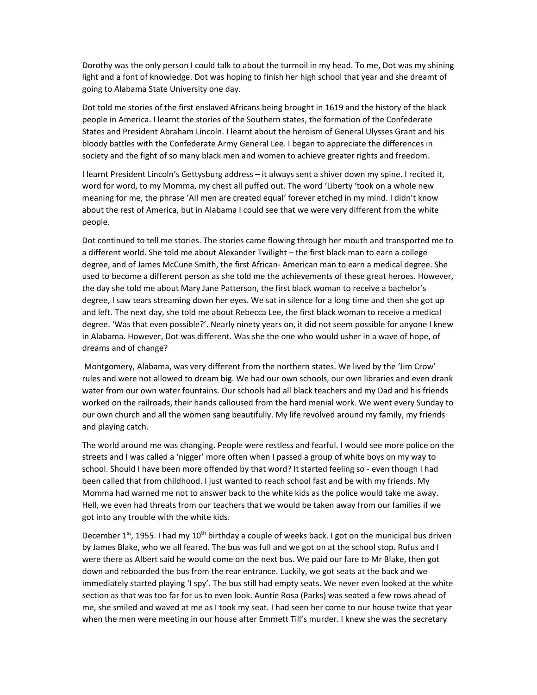Dorothy was the only person I could talk to about the turmoil in my head. To me, Dot was my shining light and a font of knowledge. Dot was hoping to finish her high school that year and she dreamt of going to Alabama State University one day.

Dot told me stories of the first enslaved Africans being brought in 1619 and the history of the black people in America. I learnt the stories of the Southern states, the formation of the Confederate States and President Abraham Lincoln. I learnt about the heroism of General Ulysses Grant and his bloody battles with the Confederate Army General Lee. I began to appreciate the differences in society and the fight of so many black men and women to achieve greater rights and freedom.

I learnt President Lincoln's Gettysburg address – it always sent a shiver down my spine. I recited it, word for word, to my Momma, my chest all puffed out. The word 'Liberty 'took on a whole new meaning for me, the phrase 'All men are created equal' forever etched in my mind. I didn't know about the rest of America, but in Alabama I could see that we were very different from the white people.

Dot continued to tell me stories. The stories came flowing through her mouth and transported me to a different world. She told me about Alexander Twilight – the first black man to earn a college degree, and of James McCune Smith, the first African‐ American man to earn a medical degree. She used to become a different person as she told me the achievements of these great heroes. However, the day she told me about Mary Jane Patterson, the first black woman to receive a bachelor's degree, I saw tears streaming down her eyes. We sat in silence for a long time and then she got up and left. The next day, she told me about Rebecca Lee, the first black woman to receive a medical degree. 'Was that even possible?'. Nearly ninety years on, it did not seem possible for anyone I knew in Alabama. However, Dot was different. Was she the one who would usher in a wave of hope, of dreams and of change?

 Montgomery, Alabama, was very different from the northern states. We lived by the 'Jim Crow' rules and were not allowed to dream big. We had our own schools, our own libraries and even drank water from our own water fountains. Our schools had all black teachers and my Dad and his friends worked on the railroads, their hands calloused from the hard menial work. We went every Sunday to our own church and all the women sang beautifully. My life revolved around my family, my friends and playing catch.

The world around me was changing. People were restless and fearful. I would see more police on the streets and I was called a 'nigger' more often when I passed a group of white boys on my way to school. Should I have been more offended by that word? It started feeling so - even though I had been called that from childhood. I just wanted to reach school fast and be with my friends. My Momma had warned me not to answer back to the white kids as the police would take me away. Hell, we even had threats from our teachers that we would be taken away from our families if we got into any trouble with the white kids.

December  $1<sup>st</sup>$ , 1955. I had my  $10<sup>th</sup>$  birthday a couple of weeks back. I got on the municipal bus driven by James Blake, who we all feared. The bus was full and we got on at the school stop. Rufus and I were there as Albert said he would come on the next bus. We paid our fare to Mr Blake, then got down and reboarded the bus from the rear entrance. Luckily, we got seats at the back and we immediately started playing 'I spy'. The bus still had empty seats. We never even looked at the white section as that was too far for us to even look. Auntie Rosa (Parks) was seated a few rows ahead of me, she smiled and waved at me as I took my seat. I had seen her come to our house twice that year when the men were meeting in our house after Emmett Till's murder. I knew she was the secretary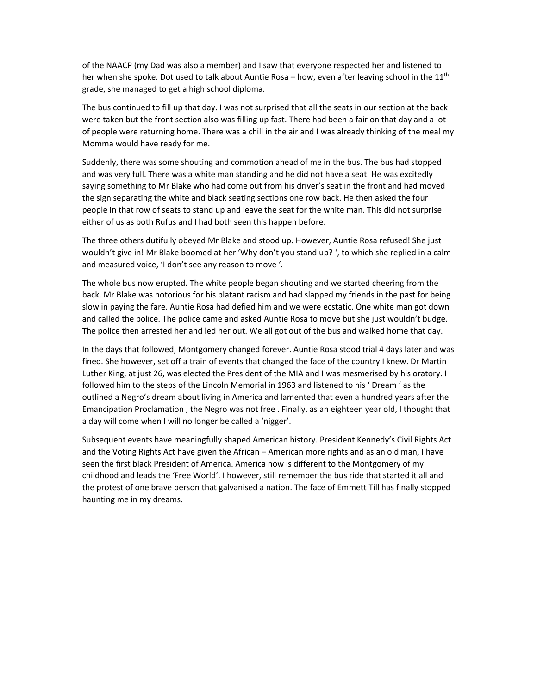of the NAACP (my Dad was also a member) and I saw that everyone respected her and listened to her when she spoke. Dot used to talk about Auntie Rosa – how, even after leaving school in the 11<sup>th</sup> grade, she managed to get a high school diploma.

The bus continued to fill up that day. I was not surprised that all the seats in our section at the back were taken but the front section also was filling up fast. There had been a fair on that day and a lot of people were returning home. There was a chill in the air and I was already thinking of the meal my Momma would have ready for me.

Suddenly, there was some shouting and commotion ahead of me in the bus. The bus had stopped and was very full. There was a white man standing and he did not have a seat. He was excitedly saying something to Mr Blake who had come out from his driver's seat in the front and had moved the sign separating the white and black seating sections one row back. He then asked the four people in that row of seats to stand up and leave the seat for the white man. This did not surprise either of us as both Rufus and I had both seen this happen before.

The three others dutifully obeyed Mr Blake and stood up. However, Auntie Rosa refused! She just wouldn't give in! Mr Blake boomed at her 'Why don't you stand up? ', to which she replied in a calm and measured voice, 'I don't see any reason to move '.

The whole bus now erupted. The white people began shouting and we started cheering from the back. Mr Blake was notorious for his blatant racism and had slapped my friends in the past for being slow in paying the fare. Auntie Rosa had defied him and we were ecstatic. One white man got down and called the police. The police came and asked Auntie Rosa to move but she just wouldn't budge. The police then arrested her and led her out. We all got out of the bus and walked home that day.

In the days that followed, Montgomery changed forever. Auntie Rosa stood trial 4 days later and was fined. She however, set off a train of events that changed the face of the country I knew. Dr Martin Luther King, at just 26, was elected the President of the MIA and I was mesmerised by his oratory. I followed him to the steps of the Lincoln Memorial in 1963 and listened to his ' Dream ' as the outlined a Negro's dream about living in America and lamented that even a hundred years after the Emancipation Proclamation , the Negro was not free . Finally, as an eighteen year old, I thought that a day will come when I will no longer be called a 'nigger'.

Subsequent events have meaningfully shaped American history. President Kennedy's Civil Rights Act and the Voting Rights Act have given the African – American more rights and as an old man, I have seen the first black President of America. America now is different to the Montgomery of my childhood and leads the 'Free World'. I however, still remember the bus ride that started it all and the protest of one brave person that galvanised a nation. The face of Emmett Till has finally stopped haunting me in my dreams.